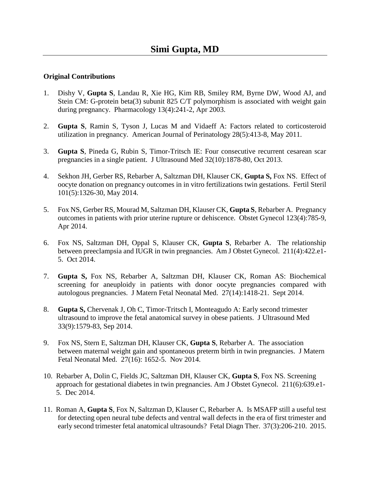## **Original Contributions**

- 1. Dishy V, **Gupta S**, Landau R, Xie HG, Kim RB, Smiley RM, Byrne DW, Wood AJ, and Stein CM: G-protein beta(3) subunit 825 C/T polymorphism is associated with weight gain during pregnancy. Pharmacology 13(4):241-2, Apr 2003.
- 2. **Gupta S**, Ramin S, Tyson J, Lucas M and Vidaeff A: Factors related to corticosteroid utilization in pregnancy. American Journal of Perinatology 28(5):413-8, May 2011.
- 3. **Gupta S**, Pineda G, Rubin S, Timor-Tritsch IE: Four consecutive recurrent cesarean scar pregnancies in a single patient. J Ultrasound Med 32(10):1878-80, Oct 2013.
- 4. Sekhon JH, Gerber RS, Rebarber A, Saltzman DH, Klauser CK, **Gupta S,** Fox NS. Effect of oocyte donation on pregnancy outcomes in in vitro fertilizations twin gestations. Fertil Steril 101(5):1326-30, May 2014.
- 5. Fox NS, Gerber RS, Mourad M, Saltzman DH, Klauser CK, **Gupta S**, Rebarber A. Pregnancy outcomes in patients with prior uterine rupture or dehiscence. Obstet Gynecol 123(4):785-9, Apr 2014.
- 6. Fox NS, Saltzman DH, Oppal S, Klauser CK, **Gupta S**, Rebarber A. The relationship between preeclampsia and IUGR in twin pregnancies. Am J Obstet Gynecol. 211(4):422.e1- 5. Oct 2014.
- 7. **Gupta S,** Fox NS, Rebarber A, Saltzman DH, Klauser CK, Roman AS: Biochemical screening for aneuploidy in patients with donor oocyte pregnancies compared with autologous pregnancies. J Matern Fetal Neonatal Med. 27(14):1418-21. Sept 2014.
- 8. **Gupta S, Chervenak J, Oh C, Timor-Tritsch I, Monteagudo A: Early second trimester**  ultrasound to improve the fetal anatomical survey in obese patients. J Ultrasound Med 33(9):1579-83, Sep 2014.
- 9. Fox NS, Stern E, Saltzman DH, Klauser CK, **Gupta S**, Rebarber A. The association between maternal weight gain and spontaneous preterm birth in twin pregnancies. J Matern Fetal Neonatal Med. 27(16): 1652-5. Nov 2014.
- 10. Rebarber A, Dolin C, Fields JC, Saltzman DH, Klauser CK, **Gupta S**, Fox NS. Screening approach for gestational diabetes in twin pregnancies. Am J Obstet Gynecol. 211(6):639.e1- 5. Dec 2014.
- 11. Roman A, **Gupta S**, Fox N, Saltzman D, Klauser C, Rebarber A. Is MSAFP still a useful test for detecting open neural tube defects and ventral wall defects in the era of first trimester and early second trimester fetal anatomical ultrasounds? Fetal Diagn Ther. 37(3):206-210. 2015.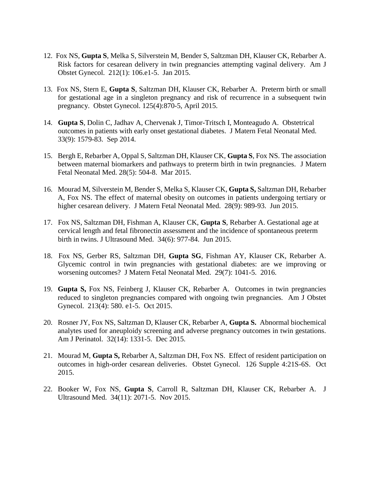- 12. Fox NS, **Gupta S**, Melka S, Silverstein M, Bender S, Saltzman DH, Klauser CK, Rebarber A. Risk factors for cesarean delivery in twin pregnancies attempting vaginal delivery. Am J Obstet Gynecol. 212(1): 106.e1-5. Jan 2015.
- 13. Fox NS, Stern E, **Gupta S**, Saltzman DH, Klauser CK, Rebarber A. Preterm birth or small for gestational age in a singleton pregnancy and risk of recurrence in a subsequent twin pregnancy. Obstet Gynecol. 125(4):870-5, April 2015.
- 14. **Gupta S**, Dolin C, Jadhav A, Chervenak J, Timor-Tritsch I, Monteagudo A. Obstetrical outcomes in patients with early onset gestational diabetes. J Matern Fetal Neonatal Med. 33(9): 1579-83. Sep 2014.
- 15. Bergh E, Rebarber A, Oppal S, Saltzman DH, Klauser CK, **Gupta S**, Fox NS. The association between maternal biomarkers and pathways to preterm birth in twin pregnancies. J Matern Fetal Neonatal Med. 28(5): 504-8. Mar 2015.
- 16. Mourad M, Silverstein M, Bender S, Melka S, Klauser CK, **Gupta S,** Saltzman DH, Rebarber A, Fox NS. The effect of maternal obesity on outcomes in patients undergoing tertiary or higher cesarean delivery. J Matern Fetal Neonatal Med. 28(9): 989-93. Jun 2015.
- 17. Fox NS, Saltzman DH, Fishman A, Klauser CK, **Gupta S**, Rebarber A. Gestational age at cervical length and fetal fibronectin assessment and the incidence of spontaneous preterm birth in twins. J Ultrasound Med. 34(6): 977-84. Jun 2015.
- 18. Fox NS, Gerber RS, Saltzman DH, **Gupta SG**, Fishman AY, Klauser CK, Rebarber A. Glycemic control in twin pregnancies with gestational diabetes: are we improving or worsening outcomes? J Matern Fetal Neonatal Med. 29(7): 1041-5. 2016.
- 19. **Gupta S,** Fox NS, Feinberg J, Klauser CK, Rebarber A. Outcomes in twin pregnancies reduced to singleton pregnancies compared with ongoing twin pregnancies. Am J Obstet Gynecol. 213(4): 580. e1-5. Oct 2015.
- 20. Rosner JY, Fox NS, Saltzman D, Klauser CK, Rebarber A, **Gupta S.** Abnormal biochemical analytes used for aneuploidy screening and adverse pregnancy outcomes in twin gestations. Am J Perinatol. 32(14): 1331-5. Dec 2015.
- 21. Mourad M, **Gupta S,** Rebarber A, Saltzman DH, Fox NS. Effect of resident participation on outcomes in high-order cesarean deliveries. Obstet Gynecol. 126 Supple 4:21S-6S. Oct 2015.
- 22. Booker W, Fox NS, **Gupta S**, Carroll R, Saltzman DH, Klauser CK, Rebarber A. J Ultrasound Med. 34(11): 2071-5. Nov 2015.